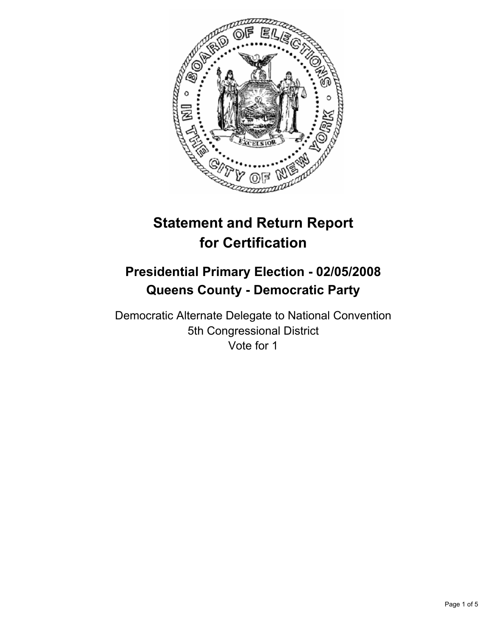

# **Statement and Return Report for Certification**

# **Presidential Primary Election - 02/05/2008 Queens County - Democratic Party**

Democratic Alternate Delegate to National Convention 5th Congressional District Vote for 1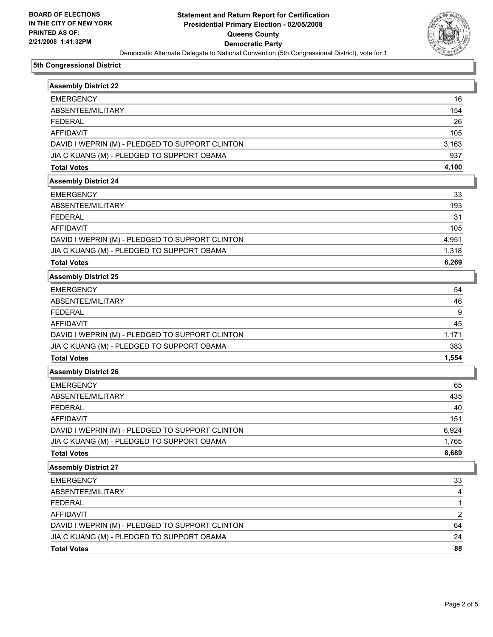

#### **5th Congressional District**

| <b>Assembly District 22</b>                     |       |
|-------------------------------------------------|-------|
| <b>EMERGENCY</b>                                | 16    |
| ABSENTEE/MILITARY                               | 154   |
| <b>FEDERAL</b>                                  | 26    |
| <b>AFFIDAVIT</b>                                | 105   |
| DAVID I WEPRIN (M) - PLEDGED TO SUPPORT CLINTON | 3,163 |
| JIA C KUANG (M) - PLEDGED TO SUPPORT OBAMA      | 937   |
| <b>Total Votes</b>                              | 4,100 |
| <b>Assembly District 24</b>                     |       |
| <b>EMERGENCY</b>                                | 33    |
| ABSENTEE/MILITARY                               | 193   |
| <b>FEDERAL</b>                                  | 31    |
| <b>AFFIDAVIT</b>                                | 105   |
| DAVID I WEPRIN (M) - PLEDGED TO SUPPORT CLINTON | 4,951 |
| JIA C KUANG (M) - PLEDGED TO SUPPORT OBAMA      | 1,318 |
| <b>Total Votes</b>                              | 6,269 |
| <b>Assembly District 25</b>                     |       |
| <b>EMERGENCY</b>                                | 54    |
| ABSENTEE/MILITARY                               | 46    |
| <b>FEDERAL</b>                                  | 9     |
| <b>AFFIDAVIT</b>                                | 45    |
| DAVID I WEPRIN (M) - PLEDGED TO SUPPORT CLINTON | 1,171 |
| JIA C KUANG (M) - PLEDGED TO SUPPORT OBAMA      | 383   |
| <b>Total Votes</b>                              | 1,554 |
| <b>Assembly District 26</b>                     |       |
| <b>EMERGENCY</b>                                | 65    |
| ABSENTEE/MILITARY                               | 435   |
| <b>FEDERAL</b>                                  | 40    |
| <b>AFFIDAVIT</b>                                | 151   |
| DAVID I WEPRIN (M) - PLEDGED TO SUPPORT CLINTON | 6,924 |
| JIA C KUANG (M) - PLEDGED TO SUPPORT OBAMA      | 1,765 |
| <b>Total Votes</b>                              | 8,689 |
| <b>Assembly District 27</b>                     |       |
| <b>EMERGENCY</b>                                | 33    |
| ABSENTEE/MILITARY                               | 4     |
| <b>FEDERAL</b>                                  | 1     |
| AFFIDAVIT                                       | 2     |
| DAVID I WEPRIN (M) - PLEDGED TO SUPPORT CLINTON | 64    |
| JIA C KUANG (M) - PLEDGED TO SUPPORT OBAMA      | 24    |
| <b>Total Votes</b>                              | 88    |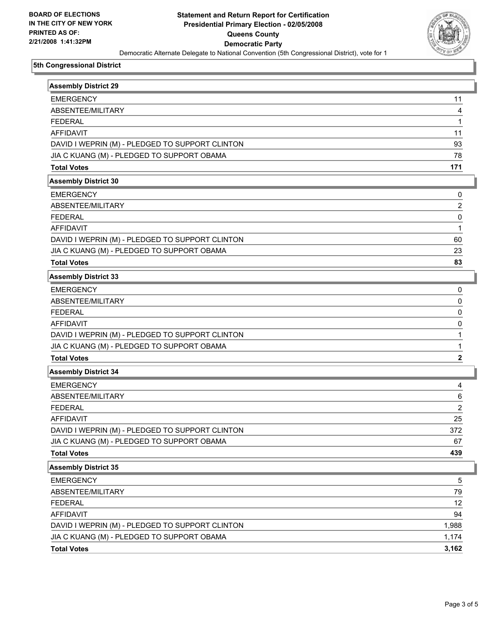

#### **5th Congressional District**

| <b>Assembly District 29</b>                     |                |
|-------------------------------------------------|----------------|
| <b>EMERGENCY</b>                                | 11             |
| ABSENTEE/MILITARY                               | 4              |
| <b>FEDERAL</b>                                  |                |
| <b>AFFIDAVIT</b>                                | 11             |
| DAVID I WEPRIN (M) - PLEDGED TO SUPPORT CLINTON | 93             |
| JIA C KUANG (M) - PLEDGED TO SUPPORT OBAMA      | 78             |
| <b>Total Votes</b>                              | 171            |
| <b>Assembly District 30</b>                     |                |
| <b>EMERGENCY</b>                                | 0              |
| ABSENTEE/MILITARY                               | $\overline{c}$ |
| <b>FEDERAL</b>                                  | 0              |
| <b>AFFIDAVIT</b>                                |                |
| DAVID I WEPRIN (M) - PLEDGED TO SUPPORT CLINTON | 60             |
| JIA C KUANG (M) - PLEDGED TO SUPPORT OBAMA      | 23             |
| <b>Total Votes</b>                              | 83             |
| <b>Assembly District 33</b>                     |                |
| <b>EMERGENCY</b>                                | 0              |
| ABSENTEE/MILITARY                               | 0              |
| <b>FEDERAL</b>                                  | 0              |
| AFFIDAVIT                                       | $\Omega$       |
| DAVID I WEPRIN (M) - PLEDGED TO SUPPORT CLINTON |                |
| JIA C KUANG (M) - PLEDGED TO SUPPORT OBAMA      |                |
| <b>Total Votes</b>                              | 2              |
| <b>Assembly District 34</b>                     |                |
| <b>EMERGENCY</b>                                | 4              |
| ABSENTEE/MILITARY                               | 6              |
| <b>FEDERAL</b>                                  | $\overline{2}$ |
| <b>AFFIDAVIT</b>                                | 25             |
| DAVID I WEPRIN (M) - PLEDGED TO SUPPORT CLINTON | 372            |
| JIA C KUANG (M) - PLEDGED TO SUPPORT OBAMA      | 67             |
| <b>Total Votes</b>                              | 439            |
| <b>Assembly District 35</b>                     |                |
| <b>EMERGENCY</b>                                | 5              |
| ABSENTEE/MILITARY                               | 79             |
| <b>FEDERAL</b>                                  | 12             |
| <b>AFFIDAVIT</b>                                | 94             |
| DAVID I WEPRIN (M) - PLEDGED TO SUPPORT CLINTON | 1,988          |
| JIA C KUANG (M) - PLEDGED TO SUPPORT OBAMA      | 1,174          |
| <b>Total Votes</b>                              | 3,162          |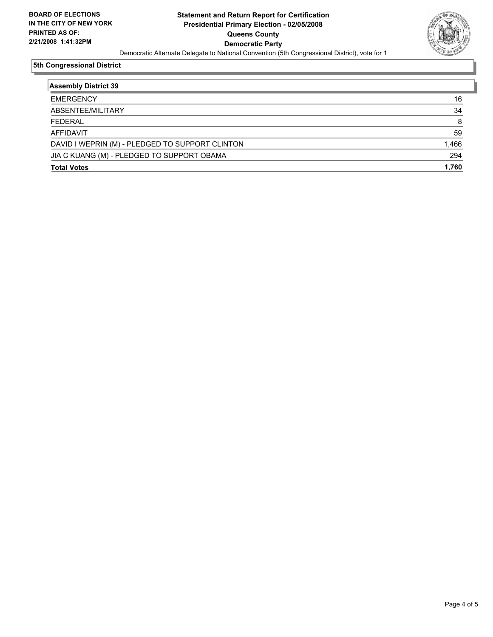

## **5th Congressional District**

| <b>Assembly District 39</b>                     |       |
|-------------------------------------------------|-------|
| <b>EMERGENCY</b>                                | 16    |
| ABSENTEE/MILITARY                               | 34    |
| <b>FEDERAL</b>                                  | 8     |
| <b>AFFIDAVIT</b>                                | 59    |
| DAVID I WEPRIN (M) - PLEDGED TO SUPPORT CLINTON | 1,466 |
| JIA C KUANG (M) - PLEDGED TO SUPPORT OBAMA      | 294   |
| <b>Total Votes</b>                              | 1,760 |